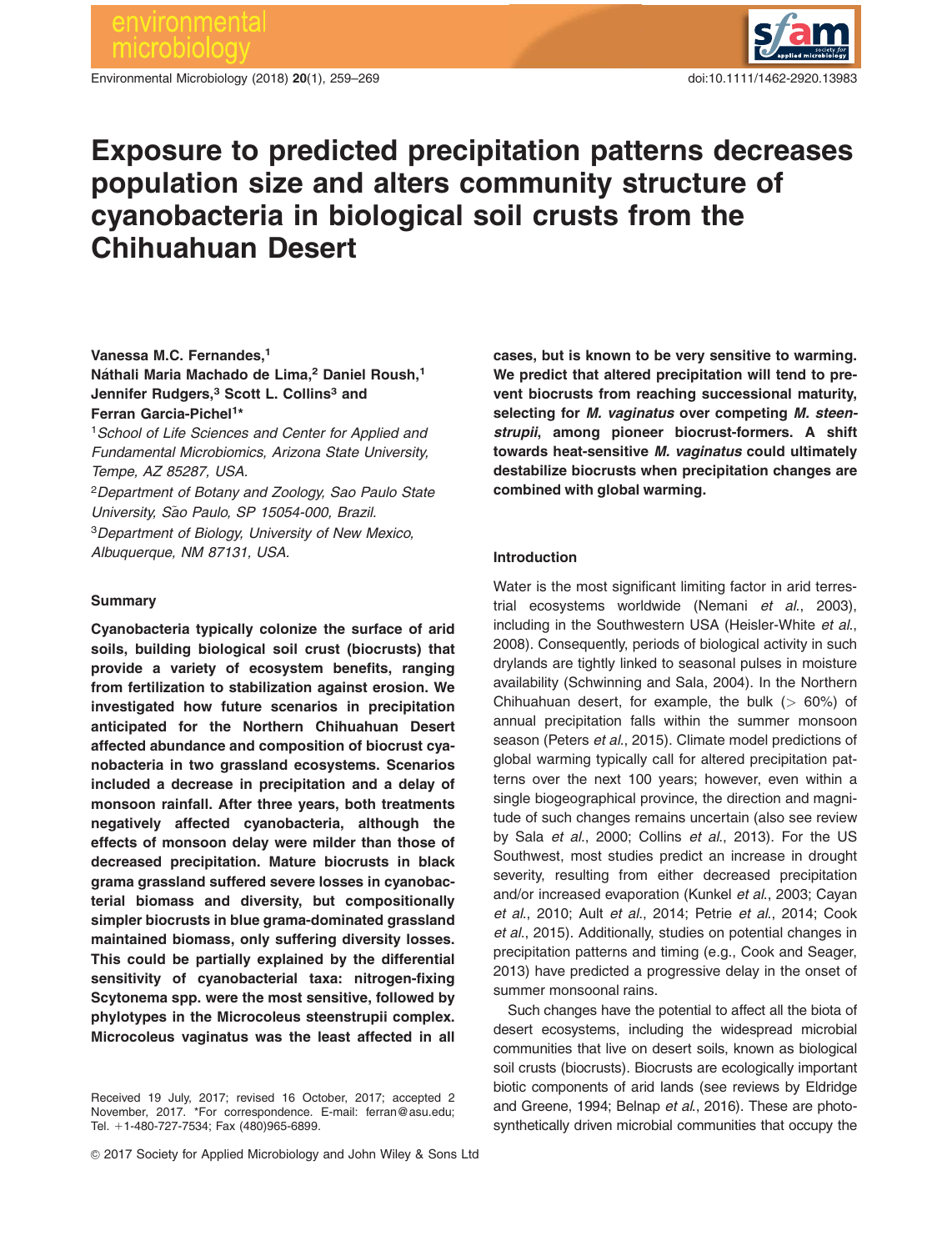# environmenta

Environmental Microbiology (2018) 20(1), 259–269 doi:10.1111/1462-2920.13983



# Exposure to predicted precipitation patterns decreases population size and alters community structure of cyanobacteria in biological soil crusts from the Chihuahuan Desert

# Vanessa M.C. Fernandes.<sup>1</sup>

Náthali Maria Machado de Lima,<sup>2</sup> Daniel Roush,<sup>1</sup> Jennifer Rudgers,<sup>3</sup> Scott L. Collins<sup>3</sup> and Ferran Garcia-Pichel<sup>1\*</sup>

<sup>1</sup> School of Life Sciences and Center for Applied and Fundamental Microbiomics, Arizona State University, Tempe, AZ 85287, USA.

<sup>2</sup>Department of Botany and Zoology, Sao Paulo State University, São Paulo, SP 15054-000, Brazil. <sup>3</sup>Department of Biology, University of New Mexico, Albuquerque, NM 87131, USA.

# **Summary**

Cyanobacteria typically colonize the surface of arid soils, building biological soil crust (biocrusts) that provide a variety of ecosystem benefits, ranging from fertilization to stabilization against erosion. We investigated how future scenarios in precipitation anticipated for the Northern Chihuahuan Desert affected abundance and composition of biocrust cyanobacteria in two grassland ecosystems. Scenarios included a decrease in precipitation and a delay of monsoon rainfall. After three years, both treatments negatively affected cyanobacteria, although the effects of monsoon delay were milder than those of decreased precipitation. Mature biocrusts in black grama grassland suffered severe losses in cyanobacterial biomass and diversity, but compositionally simpler biocrusts in blue grama-dominated grassland maintained biomass, only suffering diversity losses. This could be partially explained by the differential sensitivity of cyanobacterial taxa: nitrogen-fixing Scytonema spp. were the most sensitive, followed by phylotypes in the Microcoleus steenstrupii complex. Microcoleus vaginatus was the least affected in all

Received 19 July, 2017; revised 16 October, 2017; accepted 2 November, 2017. \*For correspondence. E-mail: ferran@asu.edu; Tel. 11-480-727-7534; Fax (480)965-6899.

cases, but is known to be very sensitive to warming. We predict that altered precipitation will tend to prevent biocrusts from reaching successional maturity, selecting for M. vaginatus over competing M. steenstrupii, among pioneer biocrust-formers. A shift towards heat-sensitive M. vaginatus could ultimately destabilize biocrusts when precipitation changes are combined with global warming.

# Introduction

Water is the most significant limiting factor in arid terrestrial ecosystems worldwide (Nemani et al., 2003), including in the Southwestern USA (Heisler-White et al., 2008). Consequently, periods of biological activity in such drylands are tightly linked to seasonal pulses in moisture availability (Schwinning and Sala, 2004). In the Northern Chihuahuan desert, for example, the bulk  $(> 60\%)$  of annual precipitation falls within the summer monsoon season (Peters et al., 2015). Climate model predictions of global warming typically call for altered precipitation patterns over the next 100 years; however, even within a single biogeographical province, the direction and magnitude of such changes remains uncertain (also see review by Sala et al., 2000; Collins et al., 2013). For the US Southwest, most studies predict an increase in drought severity, resulting from either decreased precipitation and/or increased evaporation (Kunkel et al., 2003; Cayan et al., 2010; Ault et al., 2014; Petrie et al., 2014; Cook et al., 2015). Additionally, studies on potential changes in precipitation patterns and timing (e.g., Cook and Seager, 2013) have predicted a progressive delay in the onset of summer monsoonal rains.

Such changes have the potential to affect all the biota of desert ecosystems, including the widespread microbial communities that live on desert soils, known as biological soil crusts (biocrusts). Biocrusts are ecologically important biotic components of arid lands (see reviews by Eldridge and Greene, 1994; Belnap et al., 2016). These are photosynthetically driven microbial communities that occupy the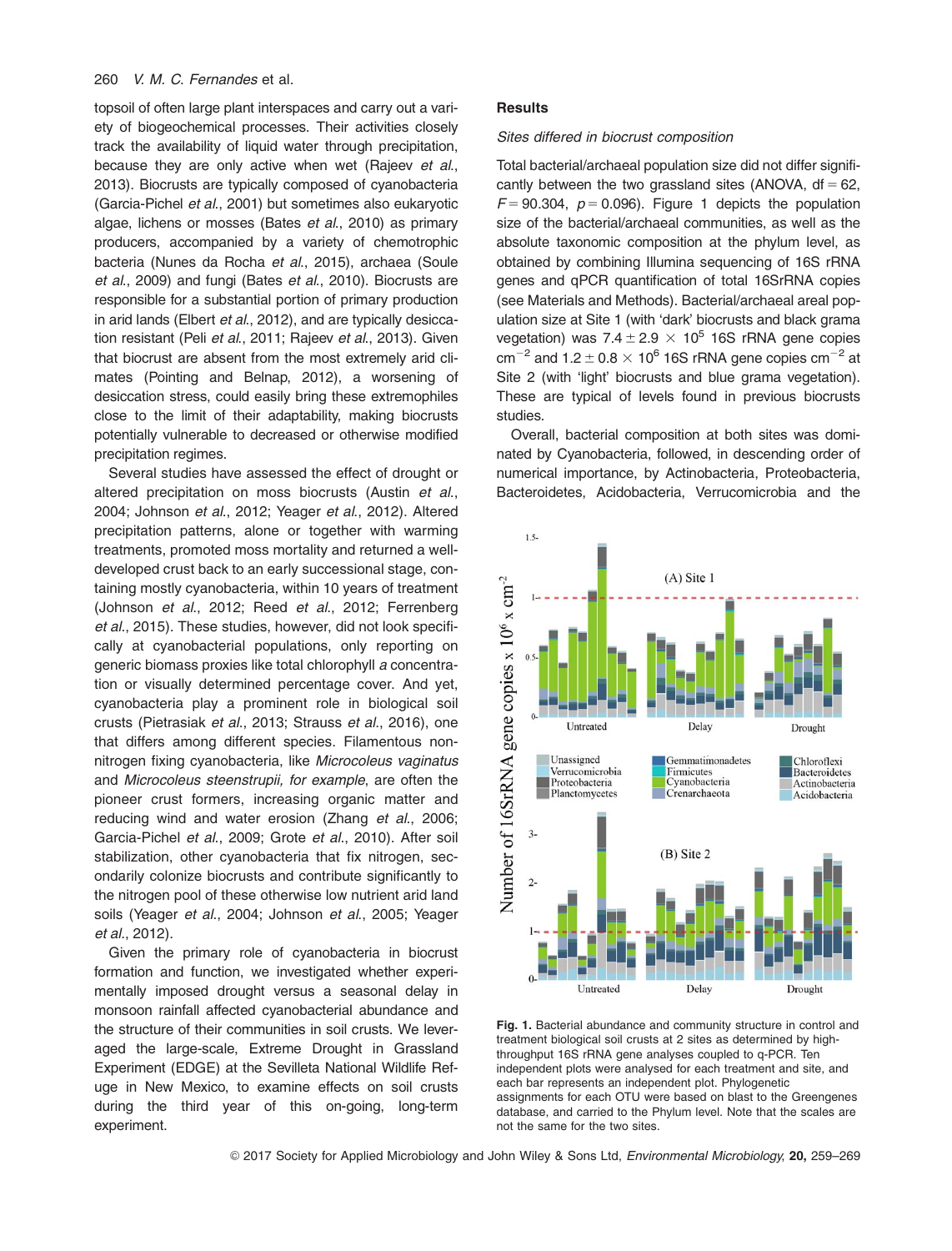#### 260 V. M. C. Fernandes et al.

topsoil of often large plant interspaces and carry out a variety of biogeochemical processes. Their activities closely track the availability of liquid water through precipitation, because they are only active when wet (Rajeev et al., 2013). Biocrusts are typically composed of cyanobacteria (Garcia-Pichel et al., 2001) but sometimes also eukaryotic algae, lichens or mosses (Bates et al., 2010) as primary producers, accompanied by a variety of chemotrophic bacteria (Nunes da Rocha et al., 2015), archaea (Soule et al., 2009) and fungi (Bates et al., 2010). Biocrusts are responsible for a substantial portion of primary production in arid lands (Elbert et al., 2012), and are typically desiccation resistant (Peli et al., 2011; Rajeev et al., 2013). Given that biocrust are absent from the most extremely arid climates (Pointing and Belnap, 2012), a worsening of desiccation stress, could easily bring these extremophiles close to the limit of their adaptability, making biocrusts potentially vulnerable to decreased or otherwise modified precipitation regimes.

Several studies have assessed the effect of drought or altered precipitation on moss biocrusts (Austin et al., 2004; Johnson et al., 2012; Yeager et al., 2012). Altered precipitation patterns, alone or together with warming treatments, promoted moss mortality and returned a welldeveloped crust back to an early successional stage, containing mostly cyanobacteria, within 10 years of treatment (Johnson et al., 2012; Reed et al., 2012; Ferrenberg et al., 2015). These studies, however, did not look specifically at cyanobacterial populations, only reporting on generic biomass proxies like total chlorophyll a concentration or visually determined percentage cover. And yet, cyanobacteria play a prominent role in biological soil crusts (Pietrasiak et al., 2013; Strauss et al., 2016), one that differs among different species. Filamentous nonnitrogen fixing cyanobacteria, like Microcoleus vaginatus and Microcoleus steenstrupii, for example, are often the pioneer crust formers, increasing organic matter and reducing wind and water erosion (Zhang et al., 2006; Garcia-Pichel et al., 2009; Grote et al., 2010). After soil stabilization, other cyanobacteria that fix nitrogen, secondarily colonize biocrusts and contribute significantly to the nitrogen pool of these otherwise low nutrient arid land soils (Yeager et al., 2004; Johnson et al., 2005; Yeager et al., 2012).

Given the primary role of cyanobacteria in biocrust formation and function, we investigated whether experimentally imposed drought versus a seasonal delay in monsoon rainfall affected cyanobacterial abundance and the structure of their communities in soil crusts. We leveraged the large-scale, Extreme Drought in Grassland Experiment (EDGE) at the Sevilleta National Wildlife Refuge in New Mexico, to examine effects on soil crusts during the third year of this on-going, long-term experiment.

# **Results**

#### Sites differed in biocrust composition

Total bacterial/archaeal population size did not differ significantly between the two grassland sites (ANOVA,  $df = 62$ ,  $F = 90.304$ ,  $p = 0.096$ ). Figure 1 depicts the population size of the bacterial/archaeal communities, as well as the absolute taxonomic composition at the phylum level, as obtained by combining Illumina sequencing of 16S rRNA genes and qPCR quantification of total 16SrRNA copies (see Materials and Methods). Bacterial/archaeal areal population size at Site 1 (with 'dark' biocrusts and black grama vegetation) was  $7.4 \pm 2.9 \times 10^5$  16S rRNA gene copies  $cm^{-2}$  and  $1.2 \pm 0.8 \times 10^6$  16S rRNA gene copies cm<sup>-2</sup> at Site 2 (with 'light' biocrusts and blue grama vegetation). These are typical of levels found in previous biocrusts studies.

Overall, bacterial composition at both sites was dominated by Cyanobacteria, followed, in descending order of numerical importance, by Actinobacteria, Proteobacteria, Bacteroidetes, Acidobacteria, Verrucomicrobia and the



Fig. 1. Bacterial abundance and community structure in control and treatment biological soil crusts at 2 sites as determined by highthroughput 16S rRNA gene analyses coupled to q-PCR. Ten independent plots were analysed for each treatment and site, and each bar represents an independent plot. Phylogenetic assignments for each OTU were based on blast to the Greengenes database, and carried to the Phylum level. Note that the scales are not the same for the two sites.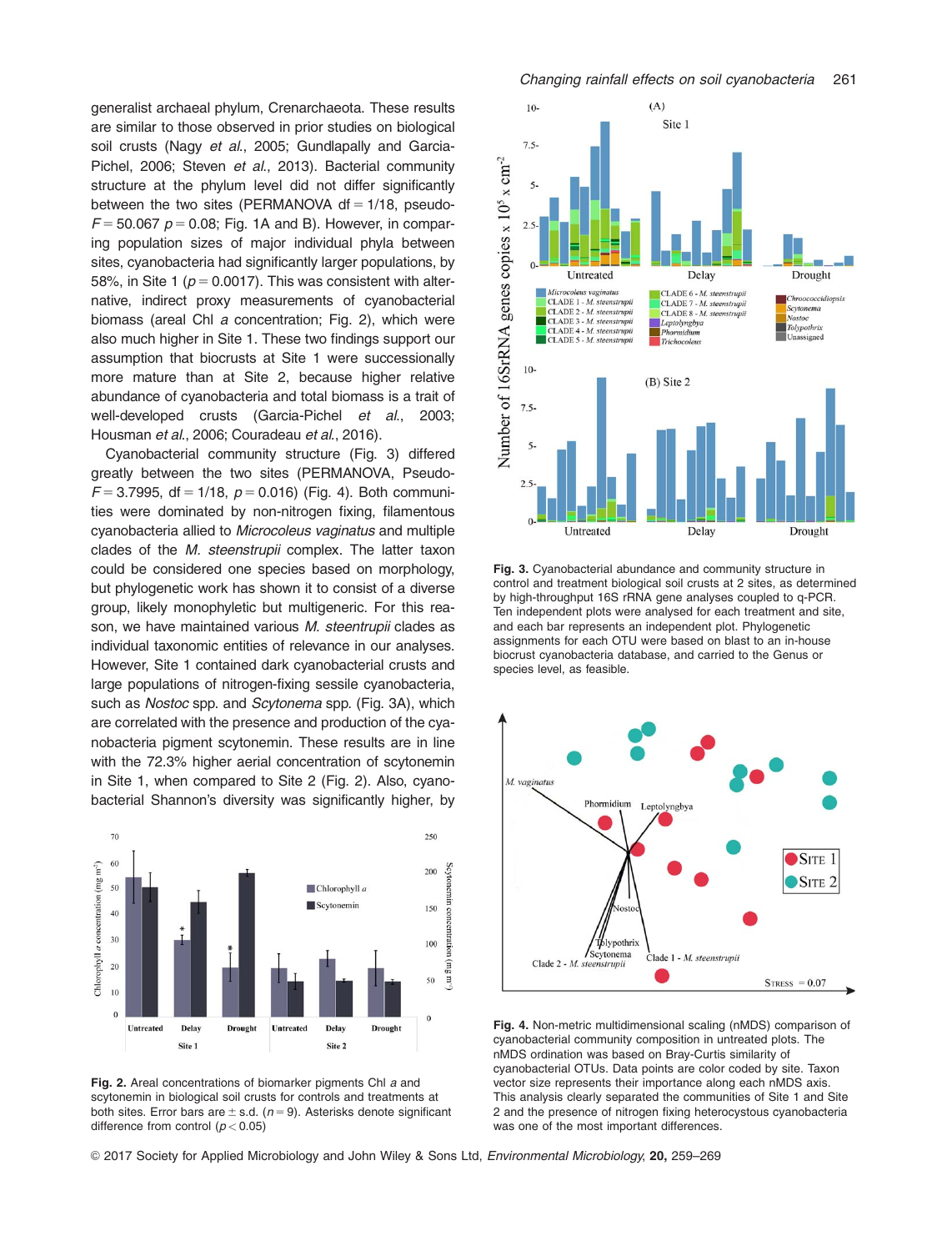generalist archaeal phylum, Crenarchaeota. These results are similar to those observed in prior studies on biological soil crusts (Nagy et al., 2005; Gundlapally and Garcia-Pichel, 2006; Steven et al., 2013). Bacterial community structure at the phylum level did not differ significantly between the two sites (PERMANOVA  $df = 1/18$ , pseudo- $F = 50.067$   $p = 0.08$ ; Fig. 1A and B). However, in comparing population sizes of major individual phyla between sites, cyanobacteria had significantly larger populations, by 58%, in Site 1 ( $p = 0.0017$ ). This was consistent with alternative, indirect proxy measurements of cyanobacterial biomass (areal Chl a concentration; Fig. 2), which were also much higher in Site 1. These two findings support our assumption that biocrusts at Site 1 were successionally more mature than at Site 2, because higher relative abundance of cyanobacteria and total biomass is a trait of well-developed crusts (Garcia-Pichel et al., 2003; Housman et al., 2006; Couradeau et al., 2016).

Cyanobacterial community structure (Fig. 3) differed greatly between the two sites (PERMANOVA, Pseudo- $F = 3.7995$ , df = 1/18,  $p = 0.016$ ) (Fig. 4). Both communities were dominated by non-nitrogen fixing, filamentous cyanobacteria allied to Microcoleus vaginatus and multiple clades of the M. steenstrupii complex. The latter taxon could be considered one species based on morphology, but phylogenetic work has shown it to consist of a diverse group, likely monophyletic but multigeneric. For this reason, we have maintained various M. steentrupii clades as individual taxonomic entities of relevance in our analyses. However, Site 1 contained dark cyanobacterial crusts and large populations of nitrogen-fixing sessile cyanobacteria, such as Nostoc spp. and Scytonema spp. (Fig. 3A), which are correlated with the presence and production of the cyanobacteria pigment scytonemin. These results are in line with the 72.3% higher aerial concentration of scytonemin in Site 1, when compared to Site 2 (Fig. 2). Also, cyanobacterial Shannon's diversity was significantly higher, by





Fig. 3. Cyanobacterial abundance and community structure in control and treatment biological soil crusts at 2 sites, as determined by high-throughput 16S rRNA gene analyses coupled to q-PCR. Ten independent plots were analysed for each treatment and site, and each bar represents an independent plot. Phylogenetic assignments for each OTU were based on blast to an in-house biocrust cyanobacteria database, and carried to the Genus or species level, as feasible.



Fig. 4. Non-metric multidimensional scaling (nMDS) comparison of cyanobacterial community composition in untreated plots. The nMDS ordination was based on Bray-Curtis similarity of cyanobacterial OTUs. Data points are color coded by site. Taxon vector size represents their importance along each nMDS axis. This analysis clearly separated the communities of Site 1 and Site 2 and the presence of nitrogen fixing heterocystous cyanobacteria was one of the most important differences.

© 2017 Society for Applied Microbiology and John Wiley & Sons Ltd, Environmental Microbiology, 20, 259–269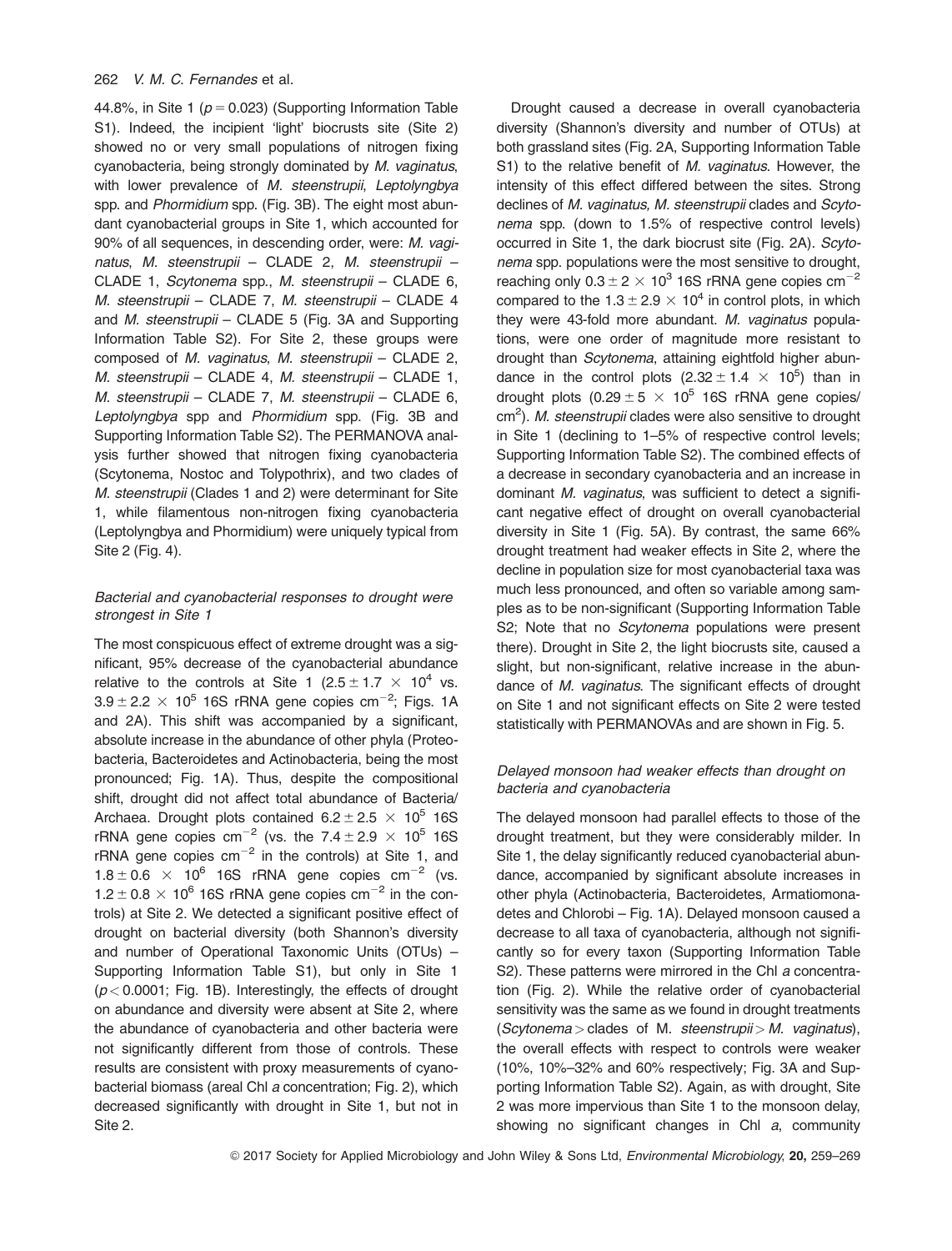44.8%, in Site 1 ( $p = 0.023$ ) (Supporting Information Table S1). Indeed, the incipient 'light' biocrusts site (Site 2) showed no or very small populations of nitrogen fixing cyanobacteria, being strongly dominated by M. vaginatus, with lower prevalence of M. steenstrupii, Leptolyngbya spp. and Phormidium spp. (Fig. 3B). The eight most abundant cyanobacterial groups in Site 1, which accounted for 90% of all sequences, in descending order, were: M. vaginatus, M. steenstrupii – CLADE 2, M. steenstrupii – CLADE 1, Scytonema spp., M. steenstrupii – CLADE 6, M. steenstrupii – CLADE 7, M. steenstrupii – CLADE 4 and M. steenstrupii – CLADE 5 (Fig. 3A and Supporting Information Table S2). For Site 2, these groups were composed of M. vaginatus, M. steenstrupii – CLADE 2, M. steenstrupii – CLADE 4, M. steenstrupii – CLADE 1, M. steenstrupii – CLADE 7, M. steenstrupii – CLADE 6, Leptolyngbya spp and Phormidium spp. (Fig. 3B and Supporting Information Table S2). The PERMANOVA analysis further showed that nitrogen fixing cyanobacteria (Scytonema, Nostoc and Tolypothrix), and two clades of M. steenstrupii (Clades 1 and 2) were determinant for Site 1, while filamentous non-nitrogen fixing cyanobacteria (Leptolyngbya and Phormidium) were uniquely typical from Site 2 (Fig. 4).

# Bacterial and cyanobacterial responses to drought were strongest in Site 1

The most conspicuous effect of extreme drought was a significant, 95% decrease of the cyanobacterial abundance relative to the controls at Site 1 (2.5  $\pm$  1.7  $\times$  10<sup>4</sup> vs.  $3.9 \pm 2.2 \times 10^5$  16S rRNA gene copies cm<sup>-2</sup>; Figs. 1A and 2A). This shift was accompanied by a significant, absolute increase in the abundance of other phyla (Proteobacteria, Bacteroidetes and Actinobacteria, being the most pronounced; Fig. 1A). Thus, despite the compositional shift, drought did not affect total abundance of Bacteria/ Archaea. Drought plots contained  $6.2 \pm 2.5 \times 10^5$  16S rRNA gene copies cm<sup>-2</sup> (vs. the  $7.4 \pm 2.9 \times 10^5$  16S rRNA gene copies  $cm^{-2}$  in the controls) at Site 1, and  $1.8 \pm 0.6$  × 10<sup>6</sup> 16S rRNA gene copies cm<sup>-2</sup> (vs.  $1.2 \pm 0.8 \times 10^6$  16S rRNA gene copies cm<sup>-2</sup> in the controls) at Site 2. We detected a significant positive effect of drought on bacterial diversity (both Shannon's diversity and number of Operational Taxonomic Units (OTUs) – Supporting Information Table S1), but only in Site 1  $(p<0.0001$ ; Fig. 1B). Interestingly, the effects of drought on abundance and diversity were absent at Site 2, where the abundance of cyanobacteria and other bacteria were not significantly different from those of controls. These results are consistent with proxy measurements of cyanobacterial biomass (areal Chl a concentration; Fig. 2), which decreased significantly with drought in Site 1, but not in Site 2.

Drought caused a decrease in overall cyanobacteria diversity (Shannon's diversity and number of OTUs) at both grassland sites (Fig. 2A, Supporting Information Table S1) to the relative benefit of M. vaginatus. However, the intensity of this effect differed between the sites. Strong declines of M. vaginatus, M. steenstrupii clades and Scytonema spp. (down to 1.5% of respective control levels) occurred in Site 1, the dark biocrust site (Fig. 2A). Scytonema spp. populations were the most sensitive to drought, reaching only  $0.3 \pm 2 \times 10^3$  16S rRNA gene copies cm<sup>-2</sup> compared to the  $1.3 \pm 2.9 \times 10^4$  in control plots, in which they were 43-fold more abundant. M. vaginatus populations, were one order of magnitude more resistant to drought than Scytonema, attaining eightfold higher abundance in the control plots  $(2.32 \pm 1.4 \times 10^5)$  than in drought plots  $(0.29 \pm 5 \times 10^5$  16S rRNA gene copies/ cm<sup>2</sup>). M. steenstrupii clades were also sensitive to drought in Site 1 (declining to 1–5% of respective control levels; Supporting Information Table S2). The combined effects of a decrease in secondary cyanobacteria and an increase in dominant M. vaginatus, was sufficient to detect a significant negative effect of drought on overall cyanobacterial diversity in Site 1 (Fig. 5A). By contrast, the same 66% drought treatment had weaker effects in Site 2, where the decline in population size for most cyanobacterial taxa was much less pronounced, and often so variable among samples as to be non-significant (Supporting Information Table S2; Note that no Scytonema populations were present there). Drought in Site 2, the light biocrusts site, caused a slight, but non-significant, relative increase in the abundance of M. vaginatus. The significant effects of drought on Site 1 and not significant effects on Site 2 were tested statistically with PERMANOVAs and are shown in Fig. 5.

# Delayed monsoon had weaker effects than drought on bacteria and cyanobacteria

The delayed monsoon had parallel effects to those of the drought treatment, but they were considerably milder. In Site 1, the delay significantly reduced cyanobacterial abundance, accompanied by significant absolute increases in other phyla (Actinobacteria, Bacteroidetes, Armatiomonadetes and Chlorobi – Fig. 1A). Delayed monsoon caused a decrease to all taxa of cyanobacteria, although not significantly so for every taxon (Supporting Information Table S2). These patterns were mirrored in the Chl a concentration (Fig. 2). While the relative order of cyanobacterial sensitivity was the same as we found in drought treatments  $(Scytonema > clades of M. steenstrupii > M. vaginatus),$ the overall effects with respect to controls were weaker (10%, 10%–32% and 60% respectively; Fig. 3A and Supporting Information Table S2). Again, as with drought, Site 2 was more impervious than Site 1 to the monsoon delay, showing no significant changes in Chl a, community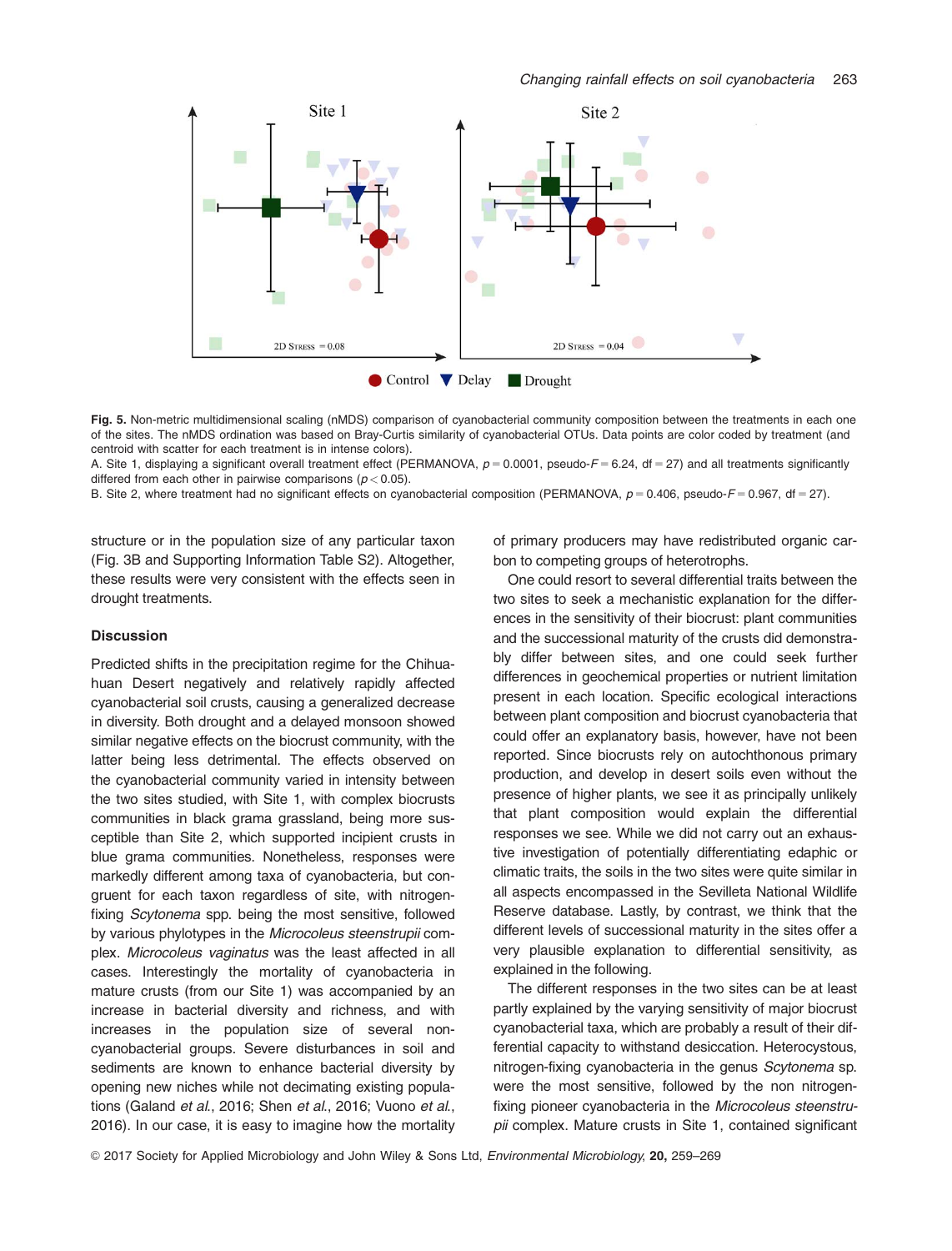

Fig. 5. Non-metric multidimensional scaling (nMDS) comparison of cyanobacterial community composition between the treatments in each one of the sites. The nMDS ordination was based on Bray-Curtis similarity of cyanobacterial OTUs. Data points are color coded by treatment (and centroid with scatter for each treatment is in intense colors).

A. Site 1, displaying a significant overall treatment effect (PERMANOVA,  $p = 0.0001$ , pseudo- $F = 6.24$ , df = 27) and all treatments significantly differed from each other in pairwise comparisons ( $p < 0.05$ ).

B. Site 2, where treatment had no significant effects on cyanobacterial composition (PERMANOVA,  $p = 0.406$ , pseudo- $F = 0.967$ , df = 27).

structure or in the population size of any particular taxon (Fig. 3B and Supporting Information Table S2). Altogether, these results were very consistent with the effects seen in drought treatments.

#### Discussion

Predicted shifts in the precipitation regime for the Chihuahuan Desert negatively and relatively rapidly affected cyanobacterial soil crusts, causing a generalized decrease in diversity. Both drought and a delayed monsoon showed similar negative effects on the biocrust community, with the latter being less detrimental. The effects observed on the cyanobacterial community varied in intensity between the two sites studied, with Site 1, with complex biocrusts communities in black grama grassland, being more susceptible than Site 2, which supported incipient crusts in blue grama communities. Nonetheless, responses were markedly different among taxa of cyanobacteria, but congruent for each taxon regardless of site, with nitrogenfixing Scytonema spp. being the most sensitive, followed by various phylotypes in the Microcoleus steenstrupii complex. Microcoleus vaginatus was the least affected in all cases. Interestingly the mortality of cyanobacteria in mature crusts (from our Site 1) was accompanied by an increase in bacterial diversity and richness, and with increases in the population size of several noncyanobacterial groups. Severe disturbances in soil and sediments are known to enhance bacterial diversity by opening new niches while not decimating existing populations (Galand et al., 2016; Shen et al., 2016; Vuono et al., 2016). In our case, it is easy to imagine how the mortality

of primary producers may have redistributed organic carbon to competing groups of heterotrophs.

One could resort to several differential traits between the two sites to seek a mechanistic explanation for the differences in the sensitivity of their biocrust: plant communities and the successional maturity of the crusts did demonstrably differ between sites, and one could seek further differences in geochemical properties or nutrient limitation present in each location. Specific ecological interactions between plant composition and biocrust cyanobacteria that could offer an explanatory basis, however, have not been reported. Since biocrusts rely on autochthonous primary production, and develop in desert soils even without the presence of higher plants, we see it as principally unlikely that plant composition would explain the differential responses we see. While we did not carry out an exhaustive investigation of potentially differentiating edaphic or climatic traits, the soils in the two sites were quite similar in all aspects encompassed in the Sevilleta National Wildlife Reserve database. Lastly, by contrast, we think that the different levels of successional maturity in the sites offer a very plausible explanation to differential sensitivity, as explained in the following.

The different responses in the two sites can be at least partly explained by the varying sensitivity of major biocrust cyanobacterial taxa, which are probably a result of their differential capacity to withstand desiccation. Heterocystous, nitrogen-fixing cyanobacteria in the genus Scytonema sp. were the most sensitive, followed by the non nitrogenfixing pioneer cyanobacteria in the Microcoleus steenstrupii complex. Mature crusts in Site 1, contained significant

© 2017 Society for Applied Microbiology and John Wiley & Sons Ltd, Environmental Microbiology, 20, 259–269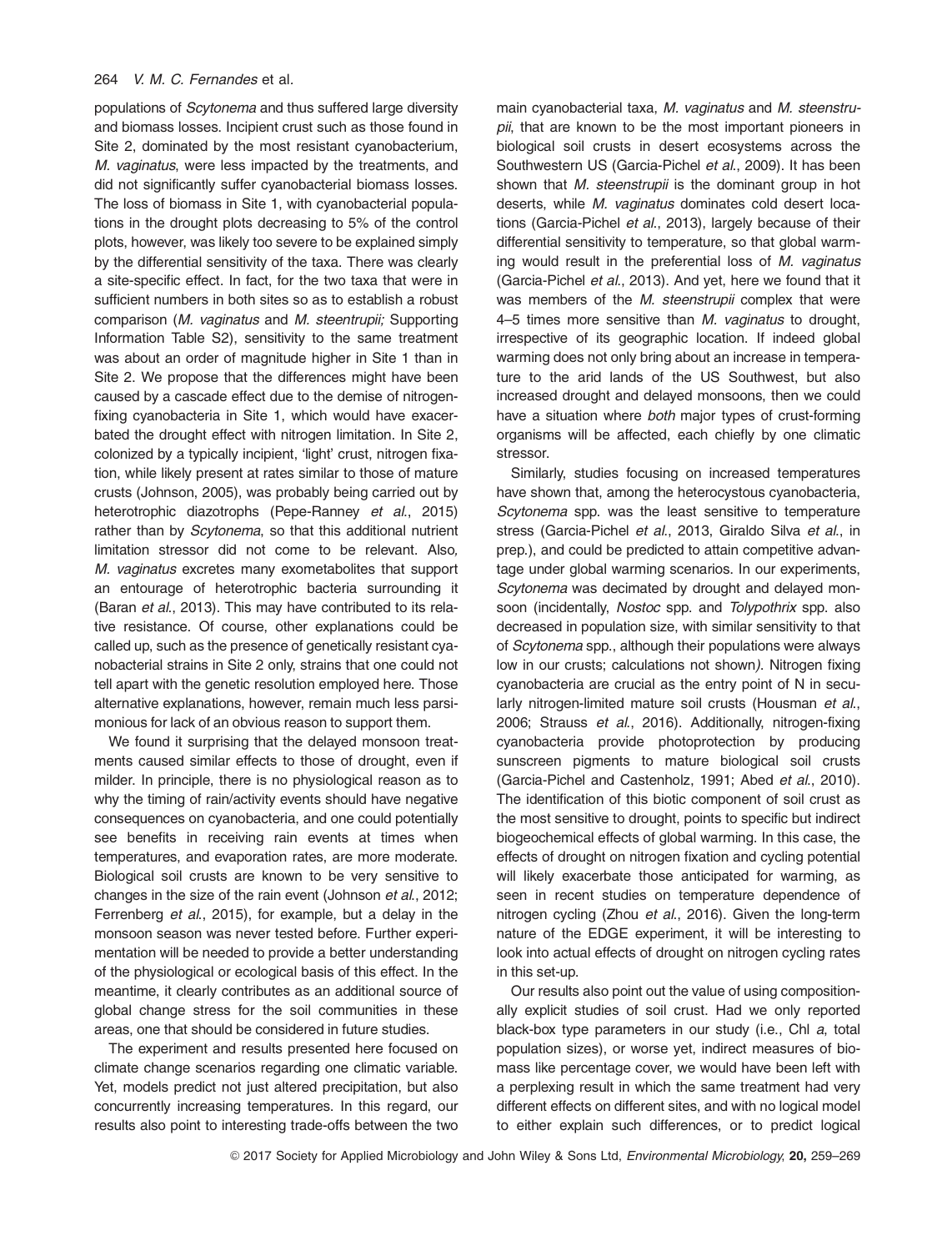#### 264 V. M. C. Fernandes et al.

populations of Scytonema and thus suffered large diversity and biomass losses. Incipient crust such as those found in Site 2, dominated by the most resistant cyanobacterium, M. vaginatus, were less impacted by the treatments, and did not significantly suffer cyanobacterial biomass losses. The loss of biomass in Site 1, with cyanobacterial populations in the drought plots decreasing to 5% of the control plots, however, was likely too severe to be explained simply by the differential sensitivity of the taxa. There was clearly a site-specific effect. In fact, for the two taxa that were in sufficient numbers in both sites so as to establish a robust comparison (M. vaginatus and M. steentrupii; Supporting Information Table S2), sensitivity to the same treatment was about an order of magnitude higher in Site 1 than in Site 2. We propose that the differences might have been caused by a cascade effect due to the demise of nitrogenfixing cyanobacteria in Site 1, which would have exacerbated the drought effect with nitrogen limitation. In Site 2, colonized by a typically incipient, 'light' crust, nitrogen fixation, while likely present at rates similar to those of mature crusts (Johnson, 2005), was probably being carried out by heterotrophic diazotrophs (Pepe-Ranney et al., 2015) rather than by Scytonema, so that this additional nutrient limitation stressor did not come to be relevant. Also, M. vaginatus excretes many exometabolites that support an entourage of heterotrophic bacteria surrounding it (Baran et al., 2013). This may have contributed to its relative resistance. Of course, other explanations could be called up, such as the presence of genetically resistant cyanobacterial strains in Site 2 only, strains that one could not tell apart with the genetic resolution employed here. Those alternative explanations, however, remain much less parsimonious for lack of an obvious reason to support them.

We found it surprising that the delayed monsoon treatments caused similar effects to those of drought, even if milder. In principle, there is no physiological reason as to why the timing of rain/activity events should have negative consequences on cyanobacteria, and one could potentially see benefits in receiving rain events at times when temperatures, and evaporation rates, are more moderate. Biological soil crusts are known to be very sensitive to changes in the size of the rain event (Johnson et al., 2012; Ferrenberg et al., 2015), for example, but a delay in the monsoon season was never tested before. Further experimentation will be needed to provide a better understanding of the physiological or ecological basis of this effect. In the meantime, it clearly contributes as an additional source of global change stress for the soil communities in these areas, one that should be considered in future studies.

The experiment and results presented here focused on climate change scenarios regarding one climatic variable. Yet, models predict not just altered precipitation, but also concurrently increasing temperatures. In this regard, our results also point to interesting trade-offs between the two

main cyanobacterial taxa, M. vaginatus and M. steenstrupii, that are known to be the most important pioneers in biological soil crusts in desert ecosystems across the Southwestern US (Garcia-Pichel et al., 2009). It has been shown that M. steenstrupii is the dominant group in hot deserts, while M. vaginatus dominates cold desert locations (Garcia-Pichel et al., 2013), largely because of their differential sensitivity to temperature, so that global warming would result in the preferential loss of M. vaginatus (Garcia-Pichel et al., 2013). And yet, here we found that it was members of the M. steenstrupii complex that were 4–5 times more sensitive than M. vaginatus to drought, irrespective of its geographic location. If indeed global warming does not only bring about an increase in temperature to the arid lands of the US Southwest, but also increased drought and delayed monsoons, then we could have a situation where both major types of crust-forming organisms will be affected, each chiefly by one climatic stressor.

Similarly, studies focusing on increased temperatures have shown that, among the heterocystous cyanobacteria, Scytonema spp. was the least sensitive to temperature stress (Garcia-Pichel et al., 2013, Giraldo Silva et al., in prep.), and could be predicted to attain competitive advantage under global warming scenarios. In our experiments, Scytonema was decimated by drought and delayed monsoon (incidentally, Nostoc spp. and Tolypothrix spp. also decreased in population size, with similar sensitivity to that of Scytonema spp., although their populations were always low in our crusts; calculations not shown). Nitrogen fixing cyanobacteria are crucial as the entry point of N in secularly nitrogen-limited mature soil crusts (Housman et al., 2006; Strauss et al., 2016). Additionally, nitrogen-fixing cyanobacteria provide photoprotection by producing sunscreen pigments to mature biological soil crusts (Garcia-Pichel and Castenholz, 1991; Abed et al., 2010). The identification of this biotic component of soil crust as the most sensitive to drought, points to specific but indirect biogeochemical effects of global warming. In this case, the effects of drought on nitrogen fixation and cycling potential will likely exacerbate those anticipated for warming, as seen in recent studies on temperature dependence of nitrogen cycling (Zhou et al., 2016). Given the long-term nature of the EDGE experiment, it will be interesting to look into actual effects of drought on nitrogen cycling rates in this set-up.

Our results also point out the value of using compositionally explicit studies of soil crust. Had we only reported black-box type parameters in our study (i.e., Chl a, total population sizes), or worse yet, indirect measures of biomass like percentage cover, we would have been left with a perplexing result in which the same treatment had very different effects on different sites, and with no logical model to either explain such differences, or to predict logical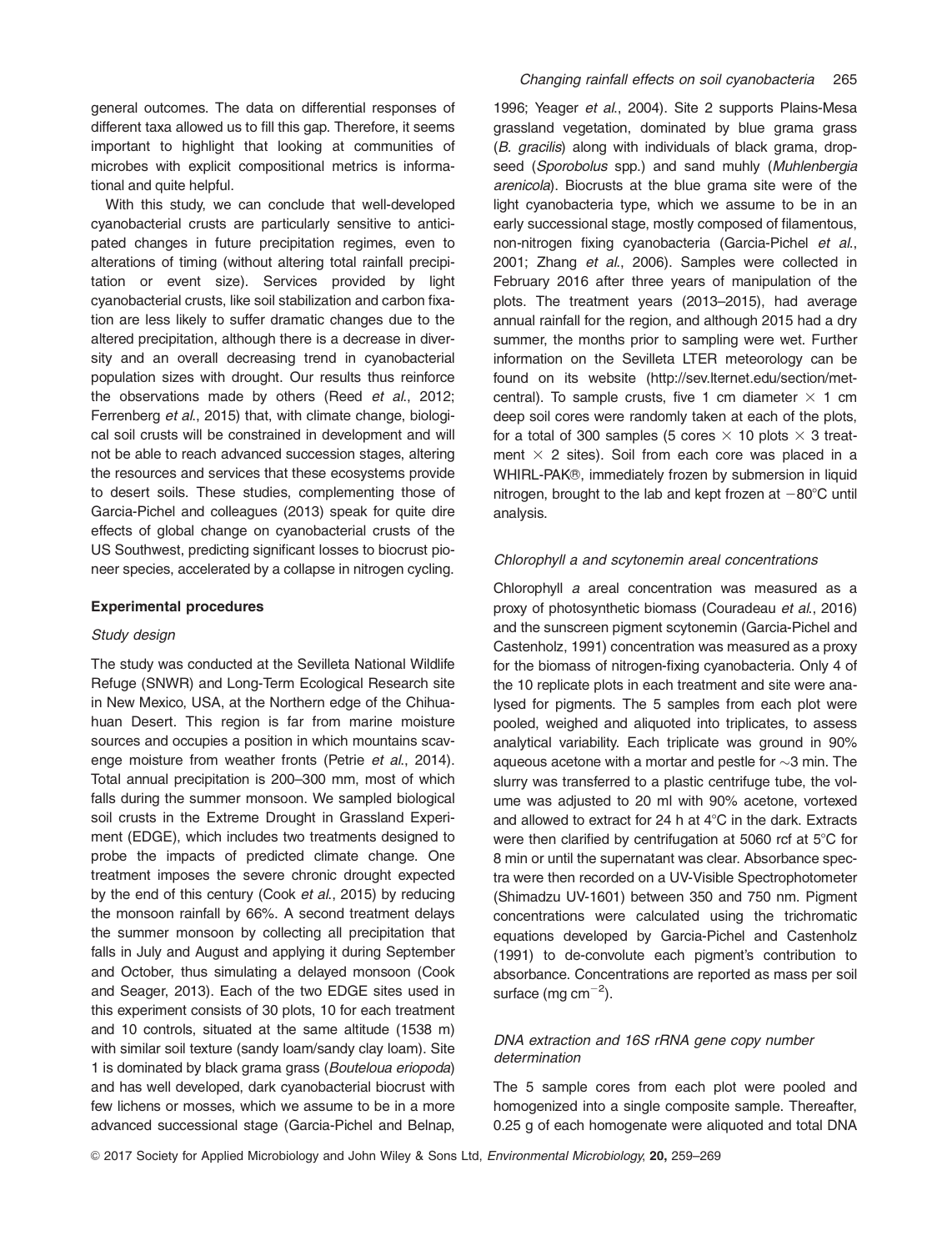general outcomes. The data on differential responses of different taxa allowed us to fill this gap. Therefore, it seems important to highlight that looking at communities of microbes with explicit compositional metrics is informational and quite helpful.

With this study, we can conclude that well-developed cyanobacterial crusts are particularly sensitive to anticipated changes in future precipitation regimes, even to alterations of timing (without altering total rainfall precipitation or event size). Services provided by light cyanobacterial crusts, like soil stabilization and carbon fixation are less likely to suffer dramatic changes due to the altered precipitation, although there is a decrease in diversity and an overall decreasing trend in cyanobacterial population sizes with drought. Our results thus reinforce the observations made by others (Reed et al., 2012; Ferrenberg et al., 2015) that, with climate change, biological soil crusts will be constrained in development and will not be able to reach advanced succession stages, altering the resources and services that these ecosystems provide to desert soils. These studies, complementing those of Garcia-Pichel and colleagues (2013) speak for quite dire effects of global change on cyanobacterial crusts of the US Southwest, predicting significant losses to biocrust pioneer species, accelerated by a collapse in nitrogen cycling.

#### Experimental procedures

#### Study design

The study was conducted at the Sevilleta National Wildlife Refuge (SNWR) and Long-Term Ecological Research site in New Mexico, USA, at the Northern edge of the Chihuahuan Desert. This region is far from marine moisture sources and occupies a position in which mountains scavenge moisture from weather fronts (Petrie et al., 2014). Total annual precipitation is 200–300 mm, most of which falls during the summer monsoon. We sampled biological soil crusts in the Extreme Drought in Grassland Experiment (EDGE), which includes two treatments designed to probe the impacts of predicted climate change. One treatment imposes the severe chronic drought expected by the end of this century (Cook et al., 2015) by reducing the monsoon rainfall by 66%. A second treatment delays the summer monsoon by collecting all precipitation that falls in July and August and applying it during September and October, thus simulating a delayed monsoon (Cook and Seager, 2013). Each of the two EDGE sites used in this experiment consists of 30 plots, 10 for each treatment and 10 controls, situated at the same altitude (1538 m) with similar soil texture (sandy loam/sandy clay loam). Site 1 is dominated by black grama grass (Bouteloua eriopoda) and has well developed, dark cyanobacterial biocrust with few lichens or mosses, which we assume to be in a more advanced successional stage (Garcia-Pichel and Belnap,

1996; Yeager et al., 2004). Site 2 supports Plains-Mesa grassland vegetation, dominated by blue grama grass (B. gracilis) along with individuals of black grama, dropseed (Sporobolus spp.) and sand muhly (Muhlenbergia arenicola). Biocrusts at the blue grama site were of the light cyanobacteria type, which we assume to be in an early successional stage, mostly composed of filamentous, non-nitrogen fixing cyanobacteria (Garcia-Pichel et al., 2001; Zhang et al., 2006). Samples were collected in February 2016 after three years of manipulation of the plots. The treatment years (2013–2015), had average annual rainfall for the region, and although 2015 had a dry summer, the months prior to sampling were wet. Further information on the Sevilleta LTER meteorology can be found on its website [\(http://sev.lternet.edu/section/met](http://sev.lternet.edu/section/met-central)[central\)](http://sev.lternet.edu/section/met-central). To sample crusts, five 1 cm diameter  $\times$  1 cm deep soil cores were randomly taken at each of the plots, for a total of 300 samples (5 cores  $\times$  10 plots  $\times$  3 treatment  $\times$  2 sites). Soil from each core was placed in a WHIRL-PAK®, immediately frozen by submersion in liquid nitrogen, brought to the lab and kept frozen at  $-80^{\circ}$ C until analysis.

#### Chlorophyll a and scytonemin areal concentrations

Chlorophyll a areal concentration was measured as a proxy of photosynthetic biomass (Couradeau et al., 2016) and the sunscreen pigment scytonemin (Garcia-Pichel and Castenholz, 1991) concentration was measured as a proxy for the biomass of nitrogen-fixing cyanobacteria. Only 4 of the 10 replicate plots in each treatment and site were analysed for pigments. The 5 samples from each plot were pooled, weighed and aliquoted into triplicates, to assess analytical variability. Each triplicate was ground in 90% aqueous acetone with a mortar and pestle for  $\sim$ 3 min. The slurry was transferred to a plastic centrifuge tube, the volume was adjusted to 20 ml with 90% acetone, vortexed and allowed to extract for 24 h at  $4^{\circ}$ C in the dark. Extracts were then clarified by centrifugation at 5060 rcf at  $5^{\circ}$ C for 8 min or until the supernatant was clear. Absorbance spectra were then recorded on a UV-Visible Spectrophotometer (Shimadzu UV-1601) between 350 and 750 nm. Pigment concentrations were calculated using the trichromatic equations developed by Garcia-Pichel and Castenholz (1991) to de-convolute each pigment's contribution to absorbance. Concentrations are reported as mass per soil surface (mg  $cm^{-2}$ ).

# DNA extraction and 16S rRNA gene copy number determination

The 5 sample cores from each plot were pooled and homogenized into a single composite sample. Thereafter, 0.25 g of each homogenate were aliquoted and total DNA

© 2017 Society for Applied Microbiology and John Wiley & Sons Ltd, Environmental Microbiology, 20, 259-269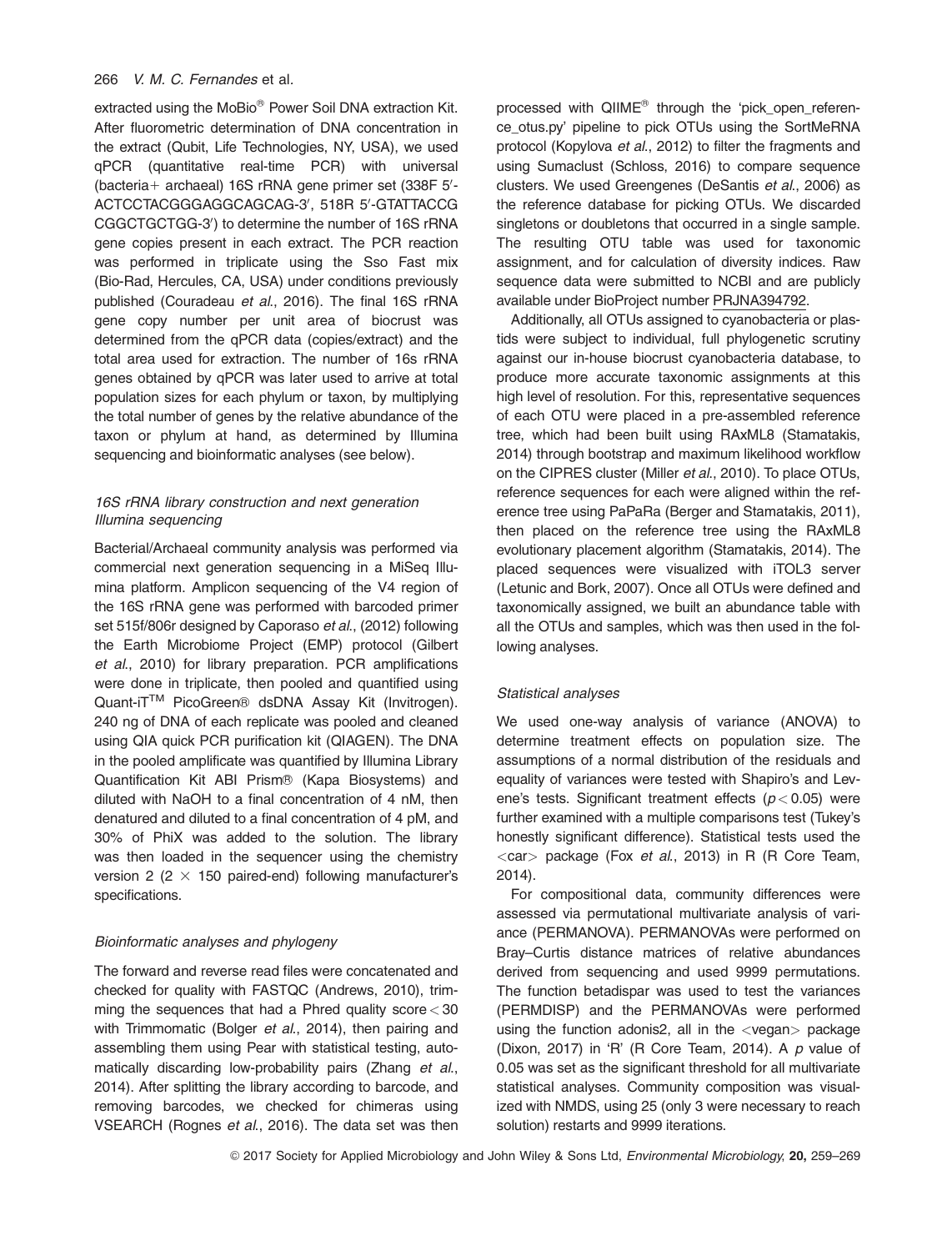# 266 V. M. C. Fernandes et al.

extracted using the MoBio® Power Soil DNA extraction Kit. After fluorometric determination of DNA concentration in the extract (Qubit, Life Technologies, NY, USA), we used qPCR (quantitative real-time PCR) with universal (bacteria+ archaeal) 16S rRNA gene primer set (338F 5'-ACTCCTACGGGAGGCAGCAG-3', 518R 5'-GTATTACCG CGGCTGCTGG-3') to determine the number of 16S rRNA gene copies present in each extract. The PCR reaction was performed in triplicate using the Sso Fast mix (Bio-Rad, Hercules, CA, USA) under conditions previously published (Couradeau et al., 2016). The final 16S rRNA gene copy number per unit area of biocrust was determined from the qPCR data (copies/extract) and the total area used for extraction. The number of 16s rRNA genes obtained by qPCR was later used to arrive at total population sizes for each phylum or taxon, by multiplying the total number of genes by the relative abundance of the taxon or phylum at hand, as determined by Illumina sequencing and bioinformatic analyses (see below).

# 16S rRNA library construction and next generation Illumina sequencing

Bacterial/Archaeal community analysis was performed via commercial next generation sequencing in a MiSeq Illumina platform. Amplicon sequencing of the V4 region of the 16S rRNA gene was performed with barcoded primer set 515f/806r designed by Caporaso et al., (2012) following the Earth Microbiome Project (EMP) protocol (Gilbert et al., 2010) for library preparation. PCR amplifications were done in triplicate, then pooled and quantified using Quant-iT<sup>TM</sup> PicoGreen® dsDNA Assay Kit (Invitrogen). 240 ng of DNA of each replicate was pooled and cleaned using QIA quick PCR purification kit (QIAGEN). The DNA in the pooled amplificate was quantified by Illumina Library Quantification Kit ABI Prism® (Kapa Biosystems) and diluted with NaOH to a final concentration of 4 nM, then denatured and diluted to a final concentration of 4 pM, and 30% of PhiX was added to the solution. The library was then loaded in the sequencer using the chemistry version 2 (2  $\times$  150 paired-end) following manufacturer's specifications.

# Bioinformatic analyses and phylogeny

The forward and reverse read files were concatenated and checked for quality with FASTQC (Andrews, 2010), trimming the sequences that had a Phred quality score  $<$  30 with Trimmomatic (Bolger et al., 2014), then pairing and assembling them using Pear with statistical testing, automatically discarding low-probability pairs (Zhang et al., 2014). After splitting the library according to barcode, and removing barcodes, we checked for chimeras using VSEARCH (Rognes et al., 2016). The data set was then

processed with QIIME<sup>®</sup> through the 'pick\_open\_reference\_otus.py' pipeline to pick OTUs using the SortMeRNA protocol (Kopylova et al., 2012) to filter the fragments and using Sumaclust (Schloss, 2016) to compare sequence clusters. We used Greengenes (DeSantis et al., 2006) as the reference database for picking OTUs. We discarded singletons or doubletons that occurred in a single sample. The resulting OTU table was used for taxonomic assignment, and for calculation of diversity indices. Raw sequence data were submitted to NCBI and are publicly available under BioProject number PRJNA394792.

Additionally, all OTUs assigned to cyanobacteria or plastids were subject to individual, full phylogenetic scrutiny against our in-house biocrust cyanobacteria database, to produce more accurate taxonomic assignments at this high level of resolution. For this, representative sequences of each OTU were placed in a pre-assembled reference tree, which had been built using RAxML8 (Stamatakis, 2014) through bootstrap and maximum likelihood workflow on the CIPRES cluster (Miller et al., 2010). To place OTUs, reference sequences for each were aligned within the reference tree using PaPaRa (Berger and Stamatakis, 2011), then placed on the reference tree using the RAxML8 evolutionary placement algorithm (Stamatakis, 2014). The placed sequences were visualized with iTOL3 server (Letunic and Bork, 2007). Once all OTUs were defined and taxonomically assigned, we built an abundance table with all the OTUs and samples, which was then used in the following analyses.

# Statistical analyses

We used one-way analysis of variance (ANOVA) to determine treatment effects on population size. The assumptions of a normal distribution of the residuals and equality of variances were tested with Shapiro's and Levene's tests. Significant treatment effects ( $p < 0.05$ ) were further examined with a multiple comparisons test (Tukey's honestly significant difference). Statistical tests used the <car> package (Fox et al., 2013) in R (R Core Team, 2014).

For compositional data, community differences were assessed via permutational multivariate analysis of variance (PERMANOVA). PERMANOVAs were performed on Bray–Curtis distance matrices of relative abundances derived from sequencing and used 9999 permutations. The function betadispar was used to test the variances (PERMDISP) and the PERMANOVAs were performed using the function adonis2, all in the <vegan> package (Dixon, 2017) in 'R' (R Core Team, 2014). A  $p$  value of 0.05 was set as the significant threshold for all multivariate statistical analyses. Community composition was visualized with NMDS, using 25 (only 3 were necessary to reach solution) restarts and 9999 iterations.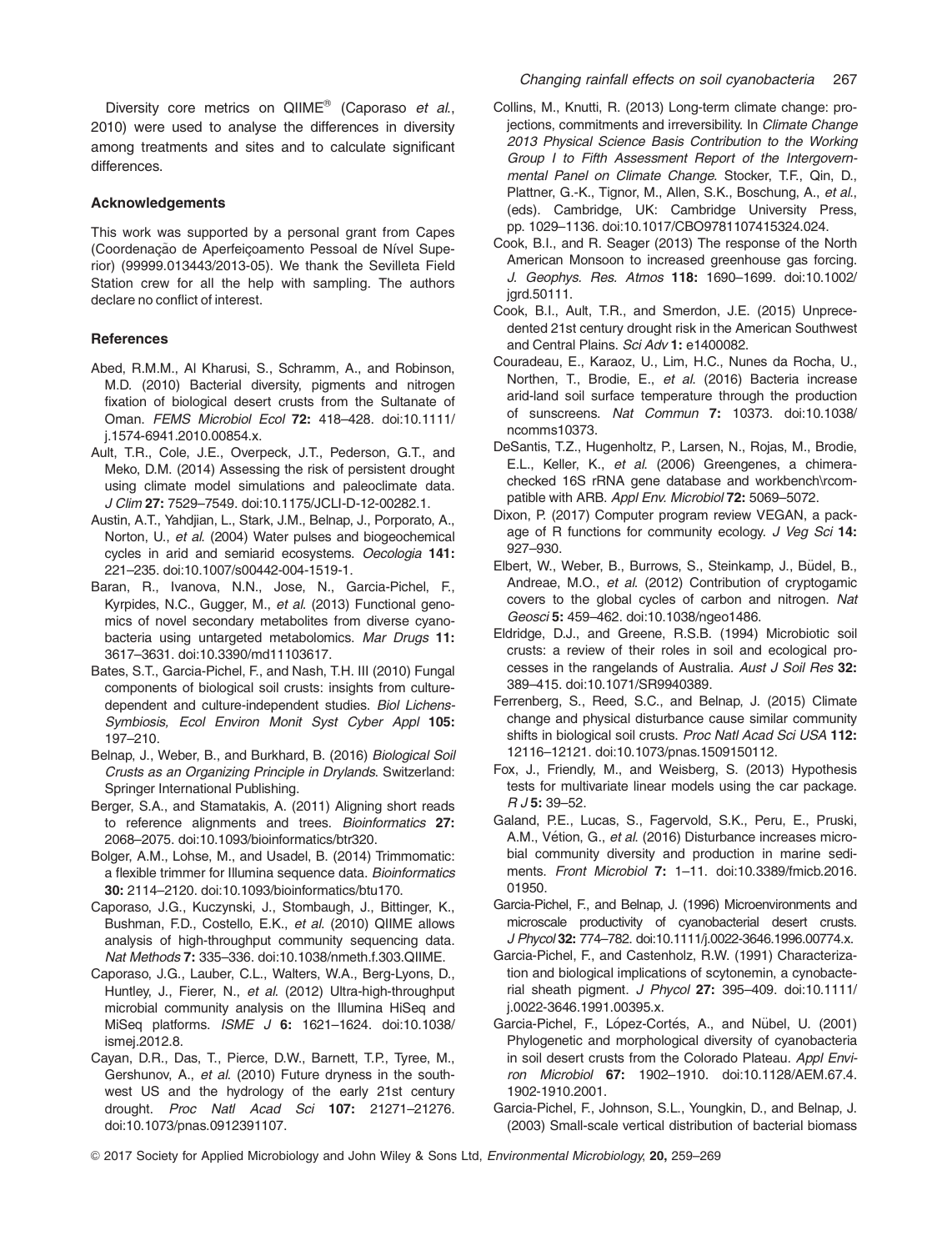# Acknowledgements

This work was supported by a personal grant from Capes (Coordenação de Aperfeiçoamento Pessoal de Nível Superior) (99999.013443/2013-05). We thank the Sevilleta Field Station crew for all the help with sampling. The authors declare no conflict of interest.

# References

- Abed, R.M.M., Al Kharusi, S., Schramm, A., and Robinson, M.D. (2010) Bacterial diversity, pigments and nitrogen fixation of biological desert crusts from the Sultanate of Oman. FEMS Microbiol Ecol 72: 418–428. doi[:10.1111/](info:doi/10.1111/j.1574-6941.2010.00854.x) [j.1574-6941.2010.00854.x.](info:doi/10.1111/j.1574-6941.2010.00854.x)
- Ault, T.R., Cole, J.E., Overpeck, J.T., Pederson, G.T., and Meko, D.M. (2014) Assessing the risk of persistent drought using climate model simulations and paleoclimate data. J Clim 27: 7529–7549. doi[:10.1175/JCLI-D-12-00282.1](info:doi/10.1175/JCLI-D-12-00282.1).
- Austin, A.T., Yahdjian, L., Stark, J.M., Belnap, J., Porporato, A., Norton, U., et al. (2004) Water pulses and biogeochemical cycles in arid and semiarid ecosystems. Oecologia 141: 221–235. doi[:10.1007/s00442-004-1519-1.](info:doi/10.1007/s00442-004-1519-1)
- Baran, R., Ivanova, N.N., Jose, N., Garcia-Pichel, F., Kyrpides, N.C., Gugger, M., et al. (2013) Functional genomics of novel secondary metabolites from diverse cyanobacteria using untargeted metabolomics. Mar Drugs 11: 3617–3631. doi:[10.3390/md11103617.](info:doi/10.3390/md11103617)
- Bates, S.T., Garcia-Pichel, F., and Nash, T.H. III (2010) Fungal components of biological soil crusts: insights from culturedependent and culture-independent studies. Biol Lichens-Symbiosis, Ecol Environ Monit Syst Cyber Appl 105: 197–210.
- Belnap, J., Weber, B., and Burkhard, B. (2016) Biological Soil Crusts as an Organizing Principle in Drylands. Switzerland: Springer International Publishing.
- Berger, S.A., and Stamatakis, A. (2011) Aligning short reads to reference alignments and trees. Bioinformatics 27: 2068–2075. doi:[10.1093/bioinformatics/btr320](info:doi/10.1093/bioinformatics/btr320).
- Bolger, A.M., Lohse, M., and Usadel, B. (2014) Trimmomatic: a flexible trimmer for Illumina sequence data. Bioinformatics 30: 2114–2120. doi[:10.1093/bioinformatics/btu170](info:doi/10.1093/bioinformatics/btu170).
- Caporaso, J.G., Kuczynski, J., Stombaugh, J., Bittinger, K., Bushman, F.D., Costello, E.K., et al. (2010) QIIME allows analysis of high-throughput community sequencing data. Nat Methods 7: 335–336. doi:[10.1038/nmeth.f.303.QIIME.](info:doi/10.1038/nmeth.f.303.QIIME)
- Caporaso, J.G., Lauber, C.L., Walters, W.A., Berg-Lyons, D., Huntley, J., Fierer, N., et al. (2012) Ultra-high-throughput microbial community analysis on the Illumina HiSeq and MiSeq platforms. ISME J 6: 1621-1624. doi[:10.1038/](info:doi/10.1038/ismej.2012.8) [ismej.2012.8](info:doi/10.1038/ismej.2012.8).
- Cayan, D.R., Das, T., Pierce, D.W., Barnett, T.P., Tyree, M., Gershunov, A., et al. (2010) Future dryness in the southwest US and the hydrology of the early 21st century drought. Proc Natl Acad Sci 107: 21271–21276. doi:[10.1073/pnas.0912391107](info:doi/10.1073/pnas.0912391107).
- Collins, M., Knutti, R. (2013) Long-term climate change: projections, commitments and irreversibility. In Climate Change 2013 Physical Science Basis Contribution to the Working Group I to Fifth Assessment Report of the Intergovernmental Panel on Climate Change. Stocker, T.F., Qin, D., Plattner, G.-K., Tignor, M., Allen, S.K., Boschung, A., et al., (eds). Cambridge, UK: Cambridge University Press, pp. 1029–1136. doi[:10.1017/CBO9781107415324.024](info:doi/10.1017/CBO9781107415324.024).
- Cook, B.I., and R. Seager (2013) The response of the North American Monsoon to increased greenhouse gas forcing. J. Geophys. Res. Atmos 118: 1690–1699. doi[:10.1002/](info:doi/10.1002/jgrd.50111) [jgrd.50111](info:doi/10.1002/jgrd.50111).
- Cook, B.I., Ault, T.R., and Smerdon, J.E. (2015) Unprecedented 21st century drought risk in the American Southwest and Central Plains. Sci Adv 1: e1400082.
- Couradeau, E., Karaoz, U., Lim, H.C., Nunes da Rocha, U., Northen, T., Brodie, E., et al. (2016) Bacteria increase arid-land soil surface temperature through the production of sunscreens. Nat Commun 7: 10373. doi[:10.1038/](info:doi/10.1038/ncomms10373) [ncomms10373.](info:doi/10.1038/ncomms10373)
- DeSantis, T.Z., Hugenholtz, P., Larsen, N., Rojas, M., Brodie, E.L., Keller, K., et al. (2006) Greengenes, a chimerachecked 16S rRNA gene database and workbench\rcompatible with ARB. Appl Env. Microbiol 72: 5069–5072.
- Dixon, P. (2017) Computer program review VEGAN, a package of R functions for community ecology. J Veg Sci 14: 927–930.
- Elbert, W., Weber, B., Burrows, S., Steinkamp, J., Büdel, B., Andreae, M.O., et al. (2012) Contribution of cryptogamic covers to the global cycles of carbon and nitrogen. Nat Geosci 5: 459–462. doi[:10.1038/ngeo1486](info:doi/10.1038/ngeo1486).
- Eldridge, D.J., and Greene, R.S.B. (1994) Microbiotic soil crusts: a review of their roles in soil and ecological processes in the rangelands of Australia. Aust J Soil Res 32: 389–415. doi[:10.1071/SR9940389](info:doi/10.1071/SR9940389).
- Ferrenberg, S., Reed, S.C., and Belnap, J. (2015) Climate change and physical disturbance cause similar community shifts in biological soil crusts. Proc Natl Acad Sci USA 112: 12116–12121. doi:[10.1073/pnas.1509150112](info:doi/10.1073/pnas.1509150112).
- Fox, J., Friendly, M., and Weisberg, S. (2013) Hypothesis tests for multivariate linear models using the car package.  $R$  J 5: 39–52.
- Galand, P.E., Lucas, S., Fagervold, S.K., Peru, E., Pruski, A.M., Vétion, G., et al. (2016) Disturbance increases microbial community diversity and production in marine sediments. Front Microbiol 7: 1–11. doi[:10.3389/fmicb.2016.](info:doi/10.3389/fmicb.2016.01950) [01950](info:doi/10.3389/fmicb.2016.01950).
- Garcia-Pichel, F., and Belnap, J. (1996) Microenvironments and microscale productivity of cyanobacterial desert crusts. J Phycol 32: 774–782. doi[:10.1111/j.0022-3646.1996.00774.x.](info:doi/10.1111/j.0022-3646.1996.00774.x)
- Garcia-Pichel, F., and Castenholz, R.W. (1991) Characterization and biological implications of scytonemin, a cynobacte-rial sheath pigment. J Phycol 27: 395-409. doi[:10.1111/](info:doi/10.1111/j.0022-3646.1991.00395.x) [j.0022-3646.1991.00395.x](info:doi/10.1111/j.0022-3646.1991.00395.x).
- Garcia-Pichel, F., López-Cortés, A., and Nübel, U. (2001) Phylogenetic and morphological diversity of cyanobacteria in soil desert crusts from the Colorado Plateau. Appl Environ Microbiol 67: 1902–1910. doi[:10.1128/AEM.67.4.](info:doi/10.1128/AEM.67.4.1902-1910.2001) [1902-1910.2001](info:doi/10.1128/AEM.67.4.1902-1910.2001).
- Garcia-Pichel, F., Johnson, S.L., Youngkin, D., and Belnap, J. (2003) Small-scale vertical distribution of bacterial biomass
- © 2017 Society for Applied Microbiology and John Wiley & Sons Ltd, Environmental Microbiology, 20, 259-269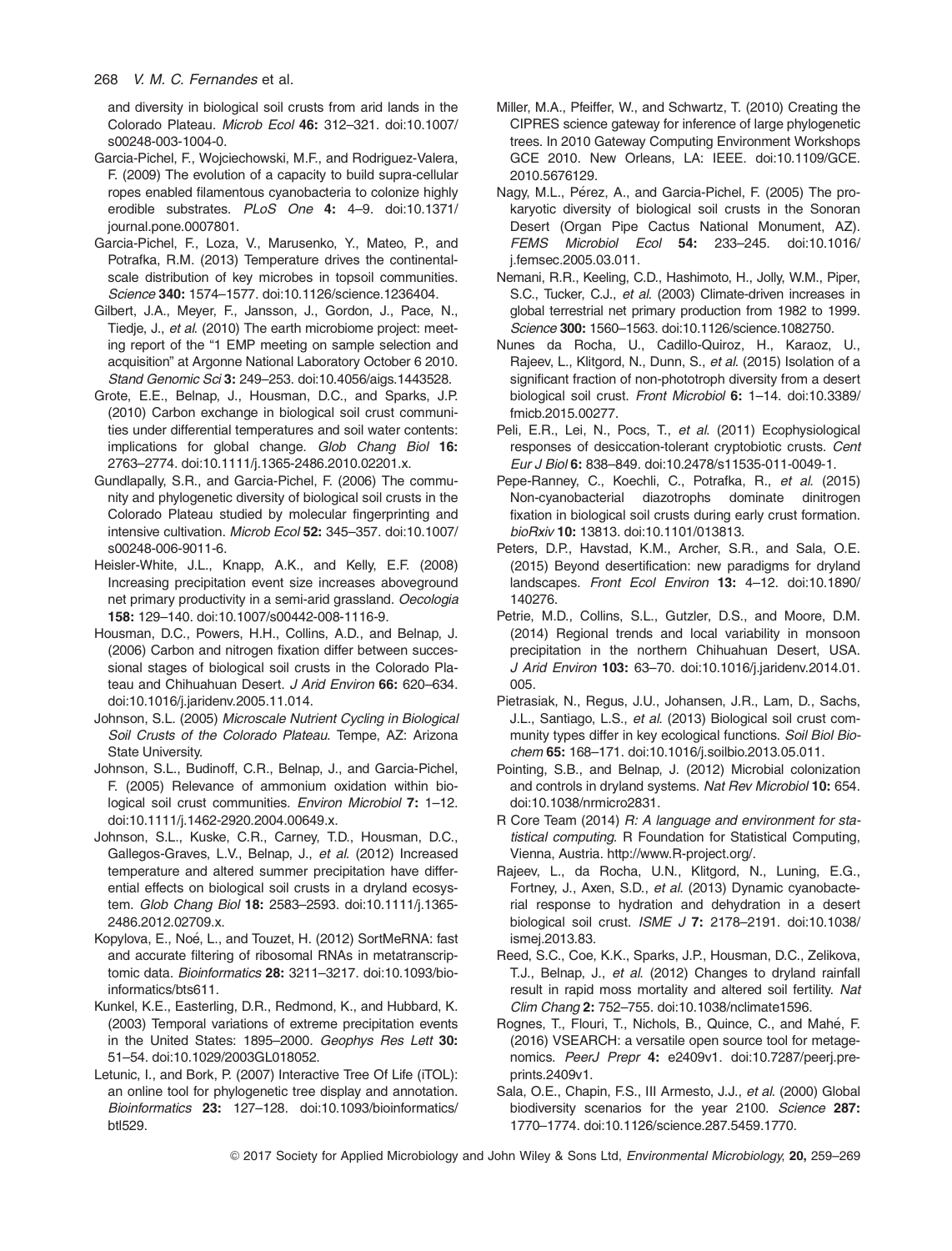and diversity in biological soil crusts from arid lands in the Colorado Plateau. Microb Ecol 46: 312–321. doi[:10.1007/](info:doi/10.1007/s00248-003-1004-0) [s00248-003-1004-0.](info:doi/10.1007/s00248-003-1004-0)

- Garcia-Pichel, F., Wojciechowski, M.F., and Rodriguez-Valera, F. (2009) The evolution of a capacity to build supra-cellular ropes enabled filamentous cyanobacteria to colonize highly erodible substrates. PLoS One 4: 4–9. doi[:10.1371/](info:doi/10.1371/journal.pone.0007801) [journal.pone.0007801.](info:doi/10.1371/journal.pone.0007801)
- Garcia-Pichel, F., Loza, V., Marusenko, Y., Mateo, P., and Potrafka, R.M. (2013) Temperature drives the continentalscale distribution of key microbes in topsoil communities. Science 340: 1574–1577. doi:[10.1126/science.1236404](info:doi/10.1126/science.1236404).
- Gilbert, J.A., Meyer, F., Jansson, J., Gordon, J., Pace, N., Tiedje, J., et al. (2010) The earth microbiome project: meeting report of the "1 EMP meeting on sample selection and acquisition" at Argonne National Laboratory October 6 2010. Stand Genomic Sci 3: 249–253. doi[:10.4056/aigs.1443528](info:doi/10.4056/aigs.1443528).
- Grote, E.E., Belnap, J., Housman, D.C., and Sparks, J.P. (2010) Carbon exchange in biological soil crust communities under differential temperatures and soil water contents: implications for global change. Glob Chang Biol 16: 2763–2774. doi[:10.1111/j.1365-2486.2010.02201.x](info:doi/10.1111/j.1365-2486.2010.02201.x).
- Gundlapally, S.R., and Garcia-Pichel, F. (2006) The community and phylogenetic diversity of biological soil crusts in the Colorado Plateau studied by molecular fingerprinting and intensive cultivation. Microb Ecol 52: 345–357. doi[:10.1007/](info:doi/10.1007/s00248-006-9011-6) [s00248-006-9011-6.](info:doi/10.1007/s00248-006-9011-6)
- Heisler-White, J.L., Knapp, A.K., and Kelly, E.F. (2008) Increasing precipitation event size increases aboveground net primary productivity in a semi-arid grassland. Oecologia 158: 129–140. doi:[10.1007/s00442-008-1116-9](info:doi/10.1007/s00442-008-1116-9).
- Housman, D.C., Powers, H.H., Collins, A.D., and Belnap, J. (2006) Carbon and nitrogen fixation differ between successional stages of biological soil crusts in the Colorado Plateau and Chihuahuan Desert. J Arid Environ 66: 620-634. doi:[10.1016/j.jaridenv.2005.11.014.](info:doi/10.1016/j.jaridenv.2005.11.014)
- Johnson, S.L. (2005) Microscale Nutrient Cycling in Biological Soil Crusts of the Colorado Plateau. Tempe, AZ: Arizona State University.
- Johnson, S.L., Budinoff, C.R., Belnap, J., and Garcia-Pichel, F. (2005) Relevance of ammonium oxidation within biological soil crust communities. Environ Microbiol 7: 1-12. doi:[10.1111/j.1462-2920.2004.00649.x](info:doi/10.1111/j.1462-2920.2004.00649.x).
- Johnson, S.L., Kuske, C.R., Carney, T.D., Housman, D.C., Gallegos-Graves, L.V., Belnap, J., et al. (2012) Increased temperature and altered summer precipitation have differential effects on biological soil crusts in a dryland ecosys-tem. Glob Chang Biol 18: 2583-2593. doi[:10.1111/j.1365-](info:doi/10.1111/j.1365-2486.2012.02709.x) [2486.2012.02709.x](info:doi/10.1111/j.1365-2486.2012.02709.x).
- Kopylova, E., Noé, L., and Touzet, H. (2012) SortMeRNA: fast and accurate filtering of ribosomal RNAs in metatranscriptomic data. Bioinformatics 28: 3211–3217. doi:[10.1093/bio](info:doi/10.1093/bioinformatics/bts611)[informatics/bts611.](info:doi/10.1093/bioinformatics/bts611)
- Kunkel, K.E., Easterling, D.R., Redmond, K., and Hubbard, K. (2003) Temporal variations of extreme precipitation events in the United States: 1895-2000. Geophys Res Lett 30: 51–54. doi[:10.1029/2003GL018052.](info:doi/10.1029/2003GL018052)
- Letunic, I., and Bork, P. (2007) Interactive Tree Of Life (iTOL): an online tool for phylogenetic tree display and annotation. Bioinformatics 23: 127–128. doi[:10.1093/bioinformatics/](info:doi/10.1093/bioinformatics/btl529) [btl529](info:doi/10.1093/bioinformatics/btl529).
- Miller, M.A., Pfeiffer, W., and Schwartz, T. (2010) Creating the CIPRES science gateway for inference of large phylogenetic trees. In 2010 Gateway Computing Environment Workshops GCE 2010. New Orleans, LA: IEEE. doi[:10.1109/GCE.](info:doi/10.1109/GCE.2010.5676129) [2010.5676129.](info:doi/10.1109/GCE.2010.5676129)
- Nagy, M.L., Pérez, A., and Garcia-Pichel, F. (2005) The prokaryotic diversity of biological soil crusts in the Sonoran Desert (Organ Pipe Cactus National Monument, AZ). FEMS Microbiol Ecol 54: 233–245. doi[:10.1016/](info:doi/10.1016/j.femsec.2005.03.011) [j.femsec.2005.03.011](info:doi/10.1016/j.femsec.2005.03.011).
- Nemani, R.R., Keeling, C.D., Hashimoto, H., Jolly, W.M., Piper, S.C., Tucker, C.J., et al. (2003) Climate-driven increases in global terrestrial net primary production from 1982 to 1999. Science 300: 1560–1563. doi[:10.1126/science.1082750.](info:doi/10.1126/science.1082750)
- Nunes da Rocha, U., Cadillo-Quiroz, H., Karaoz, U., Rajeev, L., Klitgord, N., Dunn, S., et al. (2015) Isolation of a significant fraction of non-phototroph diversity from a desert biological soil crust. Front Microbiol 6: 1–14. doi[:10.3389/](info:doi/10.3389/fmicb.2015.00277) [fmicb.2015.00277.](info:doi/10.3389/fmicb.2015.00277)
- Peli, E.R., Lei, N., Pocs, T., et al. (2011) Ecophysiological responses of desiccation-tolerant cryptobiotic crusts. Cent Eur J Biol 6: 838–849. doi:[10.2478/s11535-011-0049-1](info:doi/10.2478/s11535-011-0049-1).
- Pepe-Ranney, C., Koechli, C., Potrafka, R., et al. (2015) Non-cyanobacterial diazotrophs dominate dinitrogen fixation in biological soil crusts during early crust formation. bioRxiv 10: 13813. doi:[10.1101/013813.](info:doi/10.1101/013813)
- Peters, D.P., Havstad, K.M., Archer, S.R., and Sala, O.E. (2015) Beyond desertification: new paradigms for dryland landscapes. Front Ecol Environ 13: 4–12. doi[:10.1890/](info:doi/10.1890/140276) [140276.](info:doi/10.1890/140276)
- Petrie, M.D., Collins, S.L., Gutzler, D.S., and Moore, D.M. (2014) Regional trends and local variability in monsoon precipitation in the northern Chihuahuan Desert, USA. J Arid Environ 103: 63–70. doi[:10.1016/j.jaridenv.2014.01.](info:doi/10.1016/j.jaridenv.2014.01.005) [005](info:doi/10.1016/j.jaridenv.2014.01.005).
- Pietrasiak, N., Regus, J.U., Johansen, J.R., Lam, D., Sachs, J.L., Santiago, L.S., et al. (2013) Biological soil crust community types differ in key ecological functions. Soil Biol Biochem 65: 168–171. doi[:10.1016/j.soilbio.2013.05.011.](info:doi/10.1016/j.soilbio.2013.05.011)
- Pointing, S.B., and Belnap, J. (2012) Microbial colonization and controls in dryland systems. Nat Rev Microbiol 10: 654. doi[:10.1038/nrmicro2831](info:doi/10.1038/nrmicro2831).
- R Core Team (2014) R: A language and environment for statistical computing. R Foundation for Statistical Computing, Vienna, Austria. [http://www.R-project.org/.](http://www.R-project.org/)
- Rajeev, L., da Rocha, U.N., Klitgord, N., Luning, E.G., Fortney, J., Axen, S.D., et al. (2013) Dynamic cyanobacterial response to hydration and dehydration in a desert biological soil crust. ISME J 7: 2178-2191. doi[:10.1038/](info:doi/10.1038/ismej.2013.83) [ismej.2013.83.](info:doi/10.1038/ismej.2013.83)
- Reed, S.C., Coe, K.K., Sparks, J.P., Housman, D.C., Zelikova, T.J., Belnap, J., et al. (2012) Changes to dryland rainfall result in rapid moss mortality and altered soil fertility. Nat Clim Chang 2: 752–755. doi:[10.1038/nclimate1596](info:doi/10.1038/nclimate1596).
- Rognes, T., Flouri, T., Nichols, B., Quince, C., and Mahé, F. (2016) VSEARCH: a versatile open source tool for metagenomics. PeerJ Prepr 4: e2409v1. doi:[10.7287/peerj.pre](info:doi/10.7287/peerj.preprints.2409v1)[prints.2409v1.](info:doi/10.7287/peerj.preprints.2409v1)
- Sala, O.E., Chapin, F.S., III Armesto, J.J., et al. (2000) Global biodiversity scenarios for the year 2100. Science 287: 1770–1774. doi[:10.1126/science.287.5459.1770](info:doi/10.1126/science.287.5459.1770).

© 2017 Society for Applied Microbiology and John Wiley & Sons Ltd, Environmental Microbiology, 20, 259-269